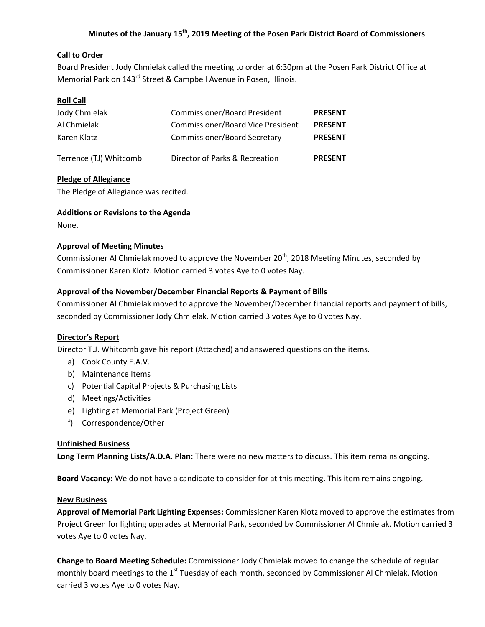# **Minutes of the January 15th, 2019 Meeting of the Posen Park District Board of Commissioners**

## **Call to Order**

Board President Jody Chmielak called the meeting to order at 6:30pm at the Posen Park District Office at Memorial Park on 143<sup>rd</sup> Street & Campbell Avenue in Posen, Illinois.

### **Roll Call**

| Jody Chmielak          | Commissioner/Board President             | <b>PRESENT</b> |
|------------------------|------------------------------------------|----------------|
| Al Chmielak            | <b>Commissioner/Board Vice President</b> | <b>PRESENT</b> |
| Karen Klotz            | <b>Commissioner/Board Secretary</b>      | <b>PRESENT</b> |
| Terrence (TJ) Whitcomb | Director of Parks & Recreation           | <b>PRESENT</b> |

### **Pledge of Allegiance**

The Pledge of Allegiance was recited.

### **Additions or Revisions to the Agenda**

None.

### **Approval of Meeting Minutes**

Commissioner Al Chmielak moved to approve the November  $20<sup>th</sup>$ , 2018 Meeting Minutes, seconded by Commissioner Karen Klotz. Motion carried 3 votes Aye to 0 votes Nay.

### **Approval of the November/December Financial Reports & Payment of Bills**

Commissioner Al Chmielak moved to approve the November/December financial reports and payment of bills, seconded by Commissioner Jody Chmielak. Motion carried 3 votes Aye to 0 votes Nay.

#### **Director's Report**

Director T.J. Whitcomb gave his report (Attached) and answered questions on the items.

- a) Cook County E.A.V.
- b) Maintenance Items
- c) Potential Capital Projects & Purchasing Lists
- d) Meetings/Activities
- e) Lighting at Memorial Park (Project Green)
- f) Correspondence/Other

#### **Unfinished Business**

**Long Term Planning Lists/A.D.A. Plan:** There were no new matters to discuss. This item remains ongoing.

**Board Vacancy:** We do not have a candidate to consider for at this meeting. This item remains ongoing.

#### **New Business**

**Approval of Memorial Park Lighting Expenses:** Commissioner Karen Klotz moved to approve the estimates from Project Green for lighting upgrades at Memorial Park, seconded by Commissioner Al Chmielak. Motion carried 3 votes Aye to 0 votes Nay.

**Change to Board Meeting Schedule:** Commissioner Jody Chmielak moved to change the schedule of regular monthly board meetings to the 1<sup>st</sup> Tuesday of each month, seconded by Commissioner Al Chmielak. Motion carried 3 votes Aye to 0 votes Nay.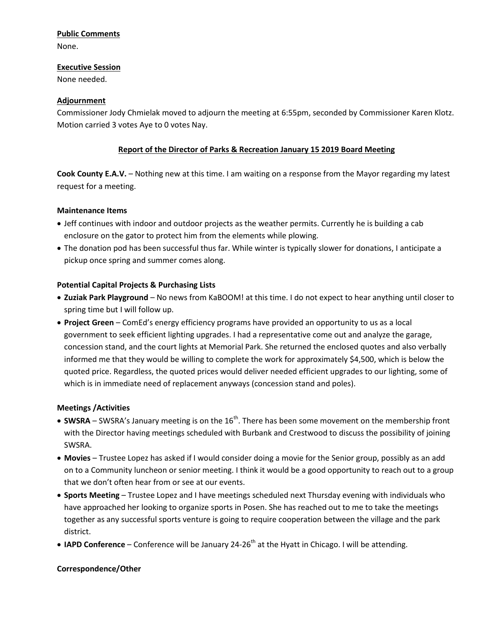# **Public Comments**

None.

#### **Executive Session**

None needed.

## **Adjournment**

Commissioner Jody Chmielak moved to adjourn the meeting at 6:55pm, seconded by Commissioner Karen Klotz. Motion carried 3 votes Aye to 0 votes Nay.

# **Report of the Director of Parks & Recreation January 15 2019 Board Meeting**

**Cook County E.A.V.** – Nothing new at this time. I am waiting on a response from the Mayor regarding my latest request for a meeting.

# **Maintenance Items**

- Jeff continues with indoor and outdoor projects as the weather permits. Currently he is building a cab enclosure on the gator to protect him from the elements while plowing.
- The donation pod has been successful thus far. While winter is typically slower for donations, I anticipate a pickup once spring and summer comes along.

# **Potential Capital Projects & Purchasing Lists**

- **Zuziak Park Playground** No news from KaBOOM! at this time. I do not expect to hear anything until closer to spring time but I will follow up.
- **Project Green**  ComEd's energy efficiency programs have provided an opportunity to us as a local government to seek efficient lighting upgrades. I had a representative come out and analyze the garage, concession stand, and the court lights at Memorial Park. She returned the enclosed quotes and also verbally informed me that they would be willing to complete the work for approximately \$4,500, which is below the quoted price. Regardless, the quoted prices would deliver needed efficient upgrades to our lighting, some of which is in immediate need of replacement anyways (concession stand and poles).

# **Meetings /Activities**

- $\bullet$  SWSRA SWSRA's January meeting is on the 16<sup>th</sup>. There has been some movement on the membership front with the Director having meetings scheduled with Burbank and Crestwood to discuss the possibility of joining SWSRA.
- **Movies**  Trustee Lopez has asked if I would consider doing a movie for the Senior group, possibly as an add on to a Community luncheon or senior meeting. I think it would be a good opportunity to reach out to a group that we don't often hear from or see at our events.
- **Sports Meeting**  Trustee Lopez and I have meetings scheduled next Thursday evening with individuals who have approached her looking to organize sports in Posen. She has reached out to me to take the meetings together as any successful sports venture is going to require cooperation between the village and the park district.
- IAPD Conference Conference will be January 24-26<sup>th</sup> at the Hyatt in Chicago. I will be attending.

# **Correspondence/Other**